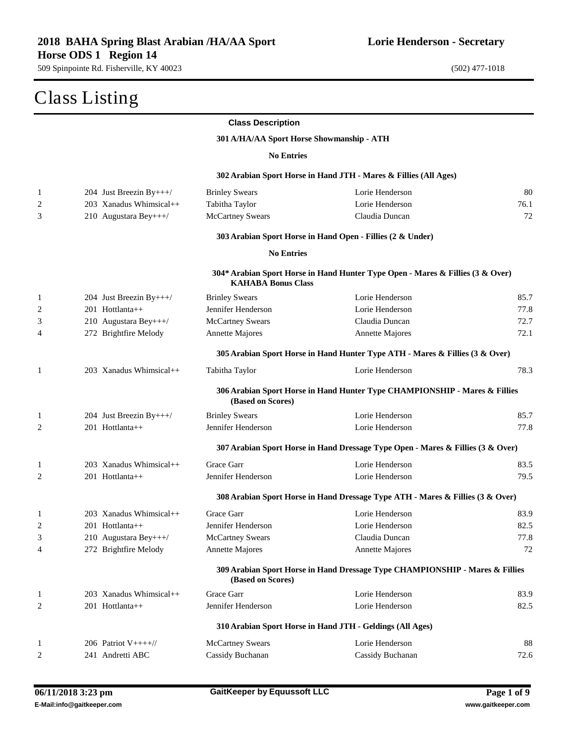| Class Listing |                           |                                           |                                                                                 |      |
|---------------|---------------------------|-------------------------------------------|---------------------------------------------------------------------------------|------|
|               |                           | <b>Class Description</b>                  |                                                                                 |      |
|               |                           | 301 A/HA/AA Sport Horse Showmanship - ATH |                                                                                 |      |
|               |                           | <b>No Entries</b>                         |                                                                                 |      |
|               |                           |                                           | 302 Arabian Sport Horse in Hand JTH - Mares & Fillies (All Ages)                |      |
| 1             | 204 Just Breezin By+++/   | <b>Brinley Swears</b>                     | Lorie Henderson                                                                 | 80   |
| 2             | 203 Xanadus Whimsical++   | Tabitha Taylor                            | Lorie Henderson                                                                 | 76.1 |
| 3             | 210 Augustara Bey+++/     | <b>McCartney Swears</b>                   | Claudia Duncan                                                                  | 72   |
|               |                           |                                           | 303 Arabian Sport Horse in Hand Open - Fillies (2 & Under)                      |      |
|               |                           | <b>No Entries</b>                         |                                                                                 |      |
|               |                           | <b>KAHABA Bonus Class</b>                 | 304* Arabian Sport Horse in Hand Hunter Type Open - Mares & Fillies (3 & Over)  |      |
| 1             | 204 Just Breezin By+++/   | <b>Brinley Swears</b>                     | Lorie Henderson                                                                 | 85.7 |
| 2             | 201 Hottlanta++           | Jennifer Henderson                        | Lorie Henderson                                                                 | 77.8 |
| 3             | 210 Augustara Bey+++/     | McCartney Swears                          | Claudia Duncan                                                                  | 72.7 |
| 4             | 272 Brightfire Melody     | Annette Majores                           | <b>Annette Majores</b>                                                          | 72.1 |
|               |                           |                                           | 305 Arabian Sport Horse in Hand Hunter Type ATH - Mares & Fillies (3 & Over)    |      |
| 1             | $203$ Xanadus Whimsical++ | Tabitha Taylor                            | Lorie Henderson                                                                 | 78.3 |
|               |                           | (Based on Scores)                         | 306 Arabian Sport Horse in Hand Hunter Type CHAMPIONSHIP - Mares & Fillies      |      |
| 1             | 204 Just Breezin By+++/   | <b>Brinley Swears</b>                     | Lorie Henderson                                                                 | 85.7 |
| 2             | 201 Hottlanta++           | Jennifer Henderson                        | Lorie Henderson                                                                 | 77.8 |
|               |                           |                                           | 307 Arabian Sport Horse in Hand Dressage Type Open - Mares & Fillies (3 & Over) |      |
| 1             | $203$ Xanadus Whimsical++ | Grace Garr                                | Lorie Henderson                                                                 | 83.5 |
| 2             | $201$ Hottlanta++         | Jennifer Henderson                        | Lorie Henderson                                                                 | 79.5 |
|               |                           |                                           | 308 Arabian Sport Horse in Hand Dressage Type ATH - Mares & Fillies (3 & Over)  |      |
| 1             | 203 Xanadus Whimsical++   | Grace Garr                                | Lorie Henderson                                                                 | 83.9 |
| 2             | 201 Hottlanta++           | Jennifer Henderson                        | Lorie Henderson                                                                 | 82.5 |
| 3             | 210 Augustara Bey+++/     | <b>McCartney Swears</b>                   | Claudia Duncan                                                                  | 77.8 |
| 4             | 272 Brightfire Melody     | Annette Majores                           | Annette Majores                                                                 | 72   |
|               |                           | (Based on Scores)                         | 309 Arabian Sport Horse in Hand Dressage Type CHAMPIONSHIP - Mares & Fillies    |      |
| $\mathbf{1}$  | $203$ Xanadus Whimsical++ | Grace Garr                                | Lorie Henderson                                                                 | 83.9 |
| 2             | 201 Hottlanta++           | Jennifer Henderson                        | Lorie Henderson                                                                 | 82.5 |
|               |                           |                                           | 310 Arabian Sport Horse in Hand JTH - Geldings (All Ages)                       |      |
| 1             | 206 Patriot $V_{++++}/$   | <b>McCartney Swears</b>                   | Lorie Henderson                                                                 | 88   |
| 2             | 241 Andretti ABC          | Cassidy Buchanan                          | Cassidy Buchanan                                                                | 72.6 |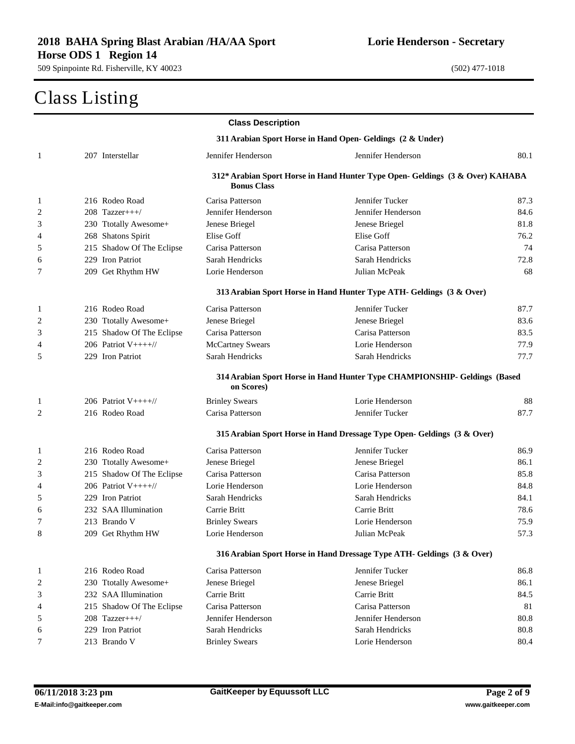## Class Listing

|                |                                                            | <b>Class Description</b> |                                                                               |      |  |
|----------------|------------------------------------------------------------|--------------------------|-------------------------------------------------------------------------------|------|--|
|                | 311 Arabian Sport Horse in Hand Open- Geldings (2 & Under) |                          |                                                                               |      |  |
| 1              | 207 Interstellar                                           | Jennifer Henderson       | Jennifer Henderson                                                            | 80.1 |  |
|                |                                                            | <b>Bonus Class</b>       | 312* Arabian Sport Horse in Hand Hunter Type Open- Geldings (3 & Over) KAHABA |      |  |
| $\mathbf{1}$   | 216 Rodeo Road                                             | Carisa Patterson         | Jennifer Tucker                                                               | 87.3 |  |
| 2              | $208$ Tazzer+++/                                           | Jennifer Henderson       | Jennifer Henderson                                                            | 84.6 |  |
| 3              | 230 Ttotally Awesome+                                      | Jenese Briegel           | Jenese Briegel                                                                | 81.8 |  |
| 4              | 268 Shatons Spirit                                         | Elise Goff               | Elise Goff                                                                    | 76.2 |  |
| 5              | 215 Shadow Of The Eclipse                                  | Carisa Patterson         | Carisa Patterson                                                              | 74   |  |
| 6              | 229 Iron Patriot                                           | Sarah Hendricks          | Sarah Hendricks                                                               | 72.8 |  |
| 7              | 209 Get Rhythm HW                                          | Lorie Henderson          | Julian McPeak                                                                 | 68   |  |
|                |                                                            |                          | 313 Arabian Sport Horse in Hand Hunter Type ATH- Geldings (3 & Over)          |      |  |
| 1              | 216 Rodeo Road                                             | Carisa Patterson         | Jennifer Tucker                                                               | 87.7 |  |
| $\overline{c}$ | 230 Ttotally Awesome+                                      | Jenese Briegel           | Jenese Briegel                                                                | 83.6 |  |
| 3              | 215 Shadow Of The Eclipse                                  | Carisa Patterson         | Carisa Patterson                                                              | 83.5 |  |
| 4              | 206 Patriot $V++++$                                        | <b>McCartney Swears</b>  | Lorie Henderson                                                               | 77.9 |  |
| 5              | 229 Iron Patriot                                           | Sarah Hendricks          | Sarah Hendricks                                                               | 77.7 |  |
|                |                                                            | on Scores)               | 314 Arabian Sport Horse in Hand Hunter Type CHAMPIONSHIP- Geldings (Based     |      |  |
| $\mathbf{1}$   | 206 Patriot $V++++$                                        | <b>Brinley Swears</b>    | Lorie Henderson                                                               | 88   |  |
| 2              | 216 Rodeo Road                                             | Carisa Patterson         | Jennifer Tucker                                                               | 87.7 |  |
|                |                                                            |                          | 315 Arabian Sport Horse in Hand Dressage Type Open- Geldings (3 & Over)       |      |  |
| $\mathbf{1}$   | 216 Rodeo Road                                             | Carisa Patterson         | Jennifer Tucker                                                               | 86.9 |  |
| 2              | 230 Ttotally Awesome+                                      | Jenese Briegel           | Jenese Briegel                                                                | 86.1 |  |
| 3              | 215 Shadow Of The Eclipse                                  | Carisa Patterson         | Carisa Patterson                                                              | 85.8 |  |
| 4              | 206 Patriot $V++++$                                        | Lorie Henderson          | Lorie Henderson                                                               | 84.8 |  |
| 5              | 229 Iron Patriot                                           | Sarah Hendricks          | Sarah Hendricks                                                               | 84.1 |  |
| 6              | 232 SAA Illumination                                       | Carrie Britt             | Carrie Britt                                                                  | 78.6 |  |
| 7              | 213 Brando V                                               | <b>Brinley Swears</b>    | Lorie Henderson                                                               | 75.9 |  |
| 8              | 209 Get Rhythm HW                                          | Lorie Henderson          | Julian McPeak                                                                 | 57.3 |  |
|                |                                                            |                          | 316 Arabian Sport Horse in Hand Dressage Type ATH- Geldings (3 & Over)        |      |  |
| $\mathbf{1}$   | 216 Rodeo Road                                             | Carisa Patterson         | Jennifer Tucker                                                               | 86.8 |  |
| $\overline{c}$ | 230 Ttotally Awesome+                                      | Jenese Briegel           | Jenese Briegel                                                                | 86.1 |  |
| 3              | 232 SAA Illumination                                       | Carrie Britt             | Carrie Britt                                                                  | 84.5 |  |
| 4              | 215 Shadow Of The Eclipse                                  | Carisa Patterson         | Carisa Patterson                                                              | 81   |  |
| 5              | $208$ Tazzer+++/                                           | Jennifer Henderson       | Jennifer Henderson                                                            | 80.8 |  |
| 6              | 229 Iron Patriot                                           | Sarah Hendricks          | Sarah Hendricks                                                               | 80.8 |  |
| 7              | 213 Brando V                                               | <b>Brinley Swears</b>    | Lorie Henderson                                                               | 80.4 |  |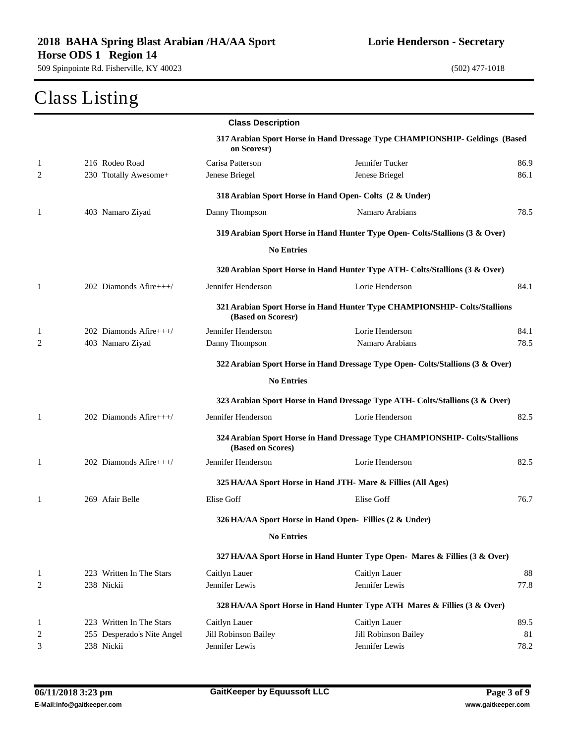# Class Listing

|                |                            | <b>Class Description</b> |                                                                                |      |
|----------------|----------------------------|--------------------------|--------------------------------------------------------------------------------|------|
|                |                            | on Scoresr)              | 317 Arabian Sport Horse in Hand Dressage Type CHAMPIONSHIP- Geldings (Based    |      |
| 1              | 216 Rodeo Road             | Carisa Patterson         | Jennifer Tucker                                                                | 86.9 |
| 2              | 230 Ttotally Awesome+      | Jenese Briegel           | Jenese Briegel                                                                 | 86.1 |
|                |                            |                          | 318 Arabian Sport Horse in Hand Open- Colts (2 & Under)                        |      |
| 1              | 403 Namaro Ziyad           | Danny Thompson           | Namaro Arabians                                                                | 78.5 |
|                |                            |                          | 319 Arabian Sport Horse in Hand Hunter Type Open- Colts/Stallions (3 & Over)   |      |
|                |                            | <b>No Entries</b>        |                                                                                |      |
|                |                            |                          | 320 Arabian Sport Horse in Hand Hunter Type ATH- Colts/Stallions (3 & Over)    |      |
| 1              | 202 Diamonds Afire+++/     | Jennifer Henderson       | Lorie Henderson                                                                | 84.1 |
|                |                            | (Based on Scoresr)       | 321 Arabian Sport Horse in Hand Hunter Type CHAMPIONSHIP- Colts/Stallions      |      |
| 1              | 202 Diamonds Afire+++/     | Jennifer Henderson       | Lorie Henderson                                                                | 84.1 |
| 2              | 403 Namaro Ziyad           | Danny Thompson           | Namaro Arabians                                                                | 78.5 |
|                |                            |                          | 322 Arabian Sport Horse in Hand Dressage Type Open- Colts/Stallions (3 & Over) |      |
|                |                            | <b>No Entries</b>        |                                                                                |      |
|                |                            |                          | 323 Arabian Sport Horse in Hand Dressage Type ATH- Colts/Stallions (3 & Over)  |      |
| $\mathbf{1}$   | 202 Diamonds Afire+++/     | Jennifer Henderson       | Lorie Henderson                                                                | 82.5 |
|                |                            | (Based on Scores)        | 324 Arabian Sport Horse in Hand Dressage Type CHAMPIONSHIP- Colts/Stallions    |      |
| $\mathbf{1}$   | 202 Diamonds Afire+++/     | Jennifer Henderson       | Lorie Henderson                                                                | 82.5 |
|                |                            |                          | 325 HA/AA Sport Horse in Hand JTH- Mare & Fillies (All Ages)                   |      |
| 1              | 269 Afair Belle            | Elise Goff               | Elise Goff                                                                     | 76.7 |
|                |                            |                          | 326 HA/AA Sport Horse in Hand Open- Fillies (2 & Under)                        |      |
|                |                            | <b>No Entries</b>        |                                                                                |      |
|                |                            |                          | 327 HA/AA Sport Horse in Hand Hunter Type Open- Mares & Fillies (3 & Over)     |      |
| 1              | 223 Written In The Stars   | Caitlyn Lauer            | Caitlyn Lauer                                                                  | 88   |
| $\overline{c}$ | 238 Nickii                 | Jennifer Lewis           | Jennifer Lewis                                                                 | 77.8 |
|                |                            |                          | 328 HA/AA Sport Horse in Hand Hunter Type ATH Mares & Fillies (3 & Over)       |      |
| $\mathbf{1}$   | 223 Written In The Stars   | Caitlyn Lauer            | Caitlyn Lauer                                                                  | 89.5 |
| 2              | 255 Desperado's Nite Angel | Jill Robinson Bailey     | Jill Robinson Bailey                                                           | 81   |
| 3              | 238 Nickii                 | Jennifer Lewis           | Jennifer Lewis                                                                 | 78.2 |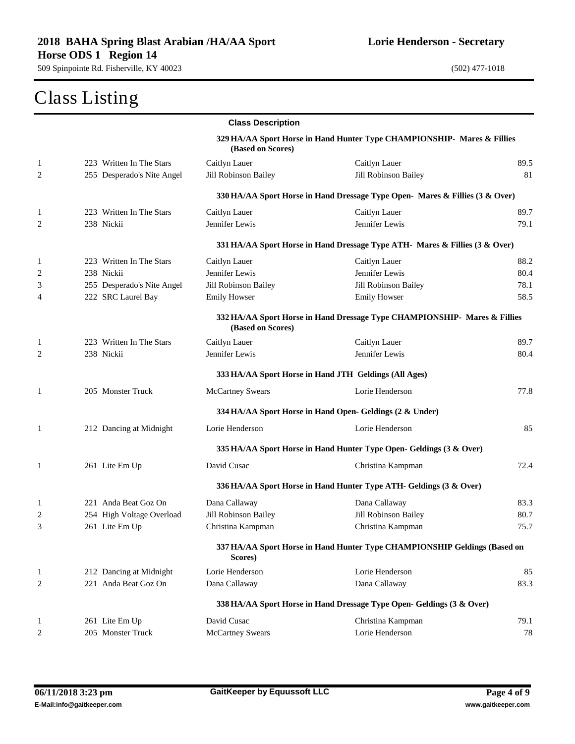#### Class Listing

|                |                            | <b>Class Description</b> |                                                                              |      |
|----------------|----------------------------|--------------------------|------------------------------------------------------------------------------|------|
|                |                            | (Based on Scores)        | 329 HA/AA Sport Horse in Hand Hunter Type CHAMPIONSHIP- Mares & Fillies      |      |
| $\mathbf{1}$   | 223 Written In The Stars   | Caitlyn Lauer            | Caitlyn Lauer                                                                | 89.5 |
| 2              | 255 Desperado's Nite Angel | Jill Robinson Bailey     | Jill Robinson Bailey                                                         | 81   |
|                |                            |                          | 330 HA/AA Sport Horse in Hand Dressage Type Open- Mares & Fillies (3 & Over) |      |
| 1              | 223 Written In The Stars   | Caitlyn Lauer            | Caitlyn Lauer                                                                | 89.7 |
| $\overline{c}$ | 238 Nickii                 | Jennifer Lewis           | Jennifer Lewis                                                               | 79.1 |
|                |                            |                          | 331 HA/AA Sport Horse in Hand Dressage Type ATH- Mares & Fillies (3 & Over)  |      |
| 1              | 223 Written In The Stars   | Caitlyn Lauer            | Caitlyn Lauer                                                                | 88.2 |
| $\overline{c}$ | 238 Nickii                 | Jennifer Lewis           | Jennifer Lewis                                                               | 80.4 |
| 3              | 255 Desperado's Nite Angel | Jill Robinson Bailey     | Jill Robinson Bailey                                                         | 78.1 |
| 4              | 222 SRC Laurel Bay         | <b>Emily Howser</b>      | <b>Emily Howser</b>                                                          | 58.5 |
|                |                            | (Based on Scores)        | 332 HA/AA Sport Horse in Hand Dressage Type CHAMPIONSHIP- Mares & Fillies    |      |
| 1              | 223 Written In The Stars   | Caitlyn Lauer            | Caitlyn Lauer                                                                | 89.7 |
| $\overline{c}$ | 238 Nickii                 | Jennifer Lewis           | Jennifer Lewis                                                               | 80.4 |
|                |                            |                          | 333 HA/AA Sport Horse in Hand JTH Geldings (All Ages)                        |      |
| 1              | 205 Monster Truck          | <b>McCartney Swears</b>  | Lorie Henderson                                                              | 77.8 |
|                |                            |                          | 334 HA/AA Sport Horse in Hand Open- Geldings (2 & Under)                     |      |
| $\mathbf{1}$   | 212 Dancing at Midnight    | Lorie Henderson          | Lorie Henderson                                                              | 85   |
|                |                            |                          | 335 HA/AA Sport Horse in Hand Hunter Type Open- Geldings (3 & Over)          |      |
| 1              | 261 Lite Em Up             | David Cusac              | Christina Kampman                                                            | 72.4 |
|                |                            |                          | 336 HA/AA Sport Horse in Hand Hunter Type ATH- Geldings (3 & Over)           |      |
| $\mathbf{1}$   | 221 Anda Beat Goz On       | Dana Callaway            | Dana Callaway                                                                | 83.3 |
| $\overline{c}$ | 254 High Voltage Overload  | Jill Robinson Bailey     | Jill Robinson Bailey                                                         | 80.7 |
| 3              | 261 Lite Em Up             | Christina Kampman        | Christina Kampman                                                            | 75.7 |
|                |                            | Scores)                  | 337 HA/AA Sport Horse in Hand Hunter Type CHAMPIONSHIP Geldings (Based on    |      |
| 1              | 212 Dancing at Midnight    | Lorie Henderson          | Lorie Henderson                                                              | 85   |
| $\overline{c}$ | 221 Anda Beat Goz On       | Dana Callaway            | Dana Callaway                                                                | 83.3 |
|                |                            |                          | 338 HA/AA Sport Horse in Hand Dressage Type Open- Geldings (3 & Over)        |      |
| 1              | 261 Lite Em Up             | David Cusac              | Christina Kampman                                                            | 79.1 |
| $\overline{c}$ | 205 Monster Truck          | <b>McCartney Swears</b>  | Lorie Henderson                                                              | 78   |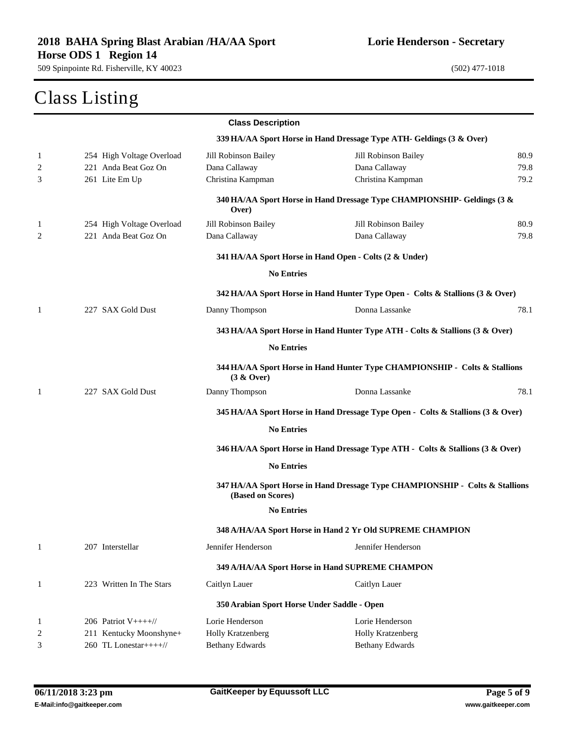#### Class Listing

|              |                           | <b>Class Description</b>                    |                                                                                 |      |
|--------------|---------------------------|---------------------------------------------|---------------------------------------------------------------------------------|------|
|              |                           |                                             | 339 HA/AA Sport Horse in Hand Dressage Type ATH- Geldings (3 & Over)            |      |
| 1            | 254 High Voltage Overload | Jill Robinson Bailey                        | Jill Robinson Bailey                                                            | 80.9 |
| 2            | 221 Anda Beat Goz On      | Dana Callaway                               | Dana Callaway                                                                   | 79.8 |
| 3            | 261 Lite Em Up            | Christina Kampman                           | Christina Kampman                                                               | 79.2 |
|              |                           | Over)                                       | 340 HA/AA Sport Horse in Hand Dressage Type CHAMPIONSHIP- Geldings (3 &         |      |
| 1            | 254 High Voltage Overload | Jill Robinson Bailey                        | Jill Robinson Bailey                                                            | 80.9 |
| 2            | 221 Anda Beat Goz On      | Dana Callaway                               | Dana Callaway                                                                   | 79.8 |
|              |                           |                                             | 341 HA/AA Sport Horse in Hand Open - Colts (2 & Under)                          |      |
|              |                           | <b>No Entries</b>                           |                                                                                 |      |
|              |                           |                                             | 342 HA/AA Sport Horse in Hand Hunter Type Open - Colts & Stallions (3 & Over)   |      |
| 1            | 227 SAX Gold Dust         | Danny Thompson                              | Donna Lassanke                                                                  | 78.1 |
|              |                           |                                             | 343 HA/AA Sport Horse in Hand Hunter Type ATH - Colts & Stallions (3 & Over)    |      |
|              |                           | <b>No Entries</b>                           |                                                                                 |      |
|              |                           | (3 & Qver)                                  | 344 HA/AA Sport Horse in Hand Hunter Type CHAMPIONSHIP - Colts & Stallions      |      |
| 1            | 227 SAX Gold Dust         | Danny Thompson                              | Donna Lassanke                                                                  | 78.1 |
|              |                           |                                             | 345 HA/AA Sport Horse in Hand Dressage Type Open - Colts & Stallions (3 & Over) |      |
|              |                           | <b>No Entries</b>                           |                                                                                 |      |
|              |                           |                                             | 346 HA/AA Sport Horse in Hand Dressage Type ATH - Colts & Stallions (3 & Over)  |      |
|              |                           | <b>No Entries</b>                           |                                                                                 |      |
|              |                           | (Based on Scores)                           | 347 HA/AA Sport Horse in Hand Dressage Type CHAMPIONSHIP - Colts & Stallions    |      |
|              |                           | <b>No Entries</b>                           |                                                                                 |      |
|              |                           |                                             | 348 A/HA/AA Sport Horse in Hand 2 Yr Old SUPREME CHAMPION                       |      |
| $\mathbf{1}$ | 207 Interstellar          | Jennifer Henderson                          | Jennifer Henderson                                                              |      |
|              |                           |                                             | 349 A/HA/AA Sport Horse in Hand SUPREME CHAMPON                                 |      |
| $\mathbf{1}$ | 223 Written In The Stars  | Caitlyn Lauer                               | Caitlyn Lauer                                                                   |      |
|              |                           | 350 Arabian Sport Horse Under Saddle - Open |                                                                                 |      |
| $\mathbf{1}$ | 206 Patriot $V++++$       | Lorie Henderson                             | Lorie Henderson                                                                 |      |
| 2            | 211 Kentucky Moonshyne+   | <b>Holly Kratzenberg</b>                    | <b>Holly Kratzenberg</b>                                                        |      |
| 3            | 260 TL Lonestar++++//     | <b>Bethany Edwards</b>                      | <b>Bethany Edwards</b>                                                          |      |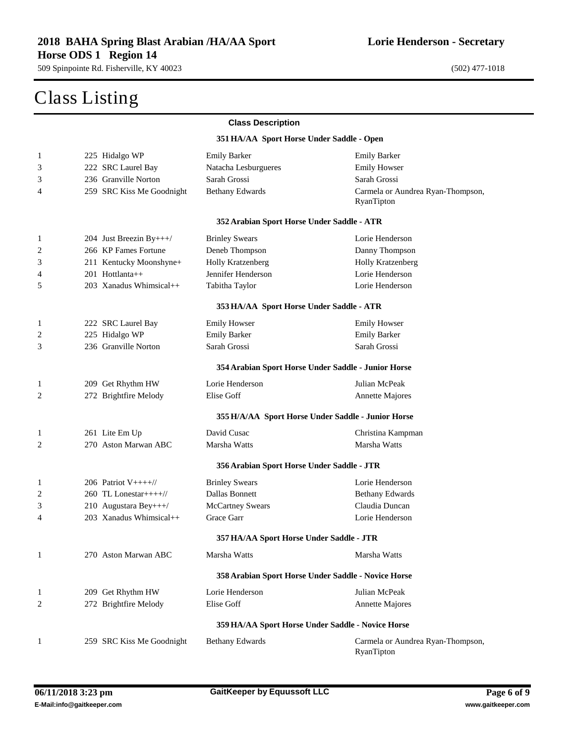### Class Listing

 $\sim$ 

| <b>Class Description</b> |                           |                                            |                                                     |
|--------------------------|---------------------------|--------------------------------------------|-----------------------------------------------------|
|                          |                           | 351 HA/AA Sport Horse Under Saddle - Open  |                                                     |
| $\mathbf{1}$             | 225 Hidalgo WP            | <b>Emily Barker</b>                        | <b>Emily Barker</b>                                 |
| 3                        | 222 SRC Laurel Bay        | Natacha Lesburgueres                       | <b>Emily Howser</b>                                 |
| 3                        | 236 Granville Norton      | Sarah Grossi                               | Sarah Grossi                                        |
| 4                        | 259 SRC Kiss Me Goodnight | <b>Bethany Edwards</b>                     | Carmela or Aundrea Ryan-Thompson,<br>RyanTipton     |
|                          |                           | 352 Arabian Sport Horse Under Saddle - ATR |                                                     |
| 1                        | 204 Just Breezin By+++/   | <b>Brinley Swears</b>                      | Lorie Henderson                                     |
| $\overline{\mathbf{c}}$  | 266 KP Fames Fortune      | Deneb Thompson                             | Danny Thompson                                      |
| 3                        | 211 Kentucky Moonshyne+   | <b>Holly Kratzenberg</b>                   | <b>Holly Kratzenberg</b>                            |
| 4                        | 201 Hottlanta++           | Jennifer Henderson                         | Lorie Henderson                                     |
| 5                        | 203 Xanadus Whimsical++   | Tabitha Taylor                             | Lorie Henderson                                     |
|                          |                           | 353 HA/AA Sport Horse Under Saddle - ATR   |                                                     |
| 1                        | 222 SRC Laurel Bay        | <b>Emily Howser</b>                        | <b>Emily Howser</b>                                 |
| $\overline{\mathbf{c}}$  | 225 Hidalgo WP            | <b>Emily Barker</b>                        | <b>Emily Barker</b>                                 |
| 3                        | 236 Granville Norton      | Sarah Grossi                               | Sarah Grossi                                        |
|                          |                           |                                            | 354 Arabian Sport Horse Under Saddle - Junior Horse |
| 1                        | 209 Get Rhythm HW         | Lorie Henderson                            | Julian McPeak                                       |
| 2                        | 272 Brightfire Melody     | Elise Goff                                 | <b>Annette Majores</b>                              |
|                          |                           |                                            | 355 H/A/AA Sport Horse Under Saddle - Junior Horse  |
| 1                        | 261 Lite Em Up            | David Cusac                                | Christina Kampman                                   |
| 2                        | 270 Aston Marwan ABC      | Marsha Watts                               | Marsha Watts                                        |
|                          |                           | 356 Arabian Sport Horse Under Saddle - JTR |                                                     |
| 1                        | 206 Patriot $V+++/$       | <b>Brinley Swears</b>                      | Lorie Henderson                                     |
| $\overline{\mathbf{c}}$  | 260 TL Lonestar++++//     | Dallas Bonnett                             | <b>Bethany Edwards</b>                              |
| 3                        | 210 Augustara Bey+++/     | <b>McCartney Swears</b>                    | Claudia Duncan                                      |
| 4                        | 203 Xanadus Whimsical++   | Grace Garr                                 | Lorie Henderson                                     |
|                          |                           | 357 HA/AA Sport Horse Under Saddle - JTR   |                                                     |
| 1                        | 270 Aston Marwan ABC      | Marsha Watts                               | Marsha Watts                                        |
|                          |                           |                                            | 358 Arabian Sport Horse Under Saddle - Novice Horse |
| $\mathbf{1}$             | 209 Get Rhythm HW         | Lorie Henderson                            | Julian McPeak                                       |
| 2                        | 272 Brightfire Melody     | Elise Goff                                 | <b>Annette Majores</b>                              |
|                          |                           |                                            | 359 HA/AA Sport Horse Under Saddle - Novice Horse   |
| 1                        | 259 SRC Kiss Me Goodnight | <b>Bethany Edwards</b>                     | Carmela or Aundrea Ryan-Thompson,<br>RyanTipton     |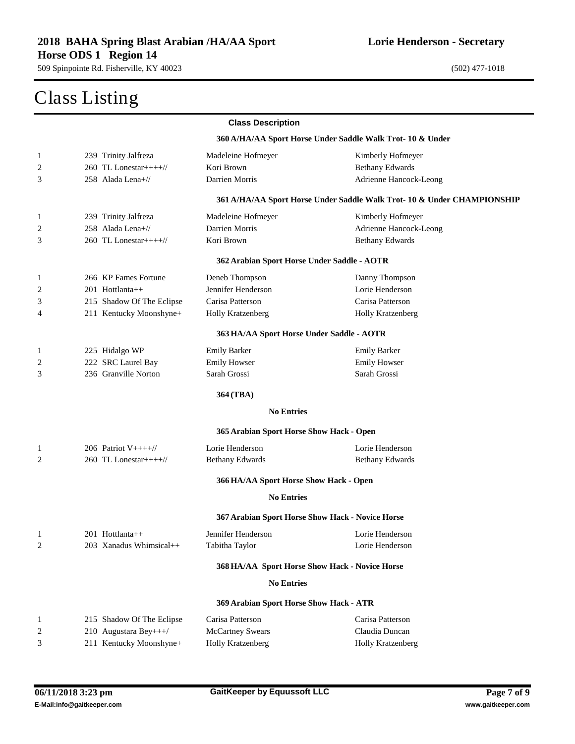#### Class Listing

|              |                                          | <b>Class Description</b>                         |                                                                         |
|--------------|------------------------------------------|--------------------------------------------------|-------------------------------------------------------------------------|
|              |                                          |                                                  | 360 A/HA/AA Sport Horse Under Saddle Walk Trot-10 & Under               |
| $\mathbf{1}$ | 239 Trinity Jalfreza                     | Madeleine Hofmeyer                               | Kimberly Hofmeyer                                                       |
| 2            | 260 TL Lonestar++++//                    | Kori Brown                                       | <b>Bethany Edwards</b>                                                  |
| 3            | 258 Alada Lena+//                        | Darrien Morris                                   | Adrienne Hancock-Leong                                                  |
|              |                                          |                                                  | 361 A/HA/AA Sport Horse Under Saddle Walk Trot- 10 & Under CHAMPIONSHIP |
| $\mathbf{1}$ | 239 Trinity Jalfreza                     | Madeleine Hofmeyer                               | Kimberly Hofmeyer                                                       |
| 2            | 258 Alada Lena+//                        | Darrien Morris                                   | Adrienne Hancock-Leong                                                  |
| 3            | 260 TL Lonestar++++//                    | Kori Brown                                       | <b>Bethany Edwards</b>                                                  |
|              |                                          | 362 Arabian Sport Horse Under Saddle - AOTR      |                                                                         |
| $\mathbf{1}$ | 266 KP Fames Fortune                     | Deneb Thompson                                   | Danny Thompson                                                          |
| 2            | 201 Hottlanta++                          | Jennifer Henderson                               | Lorie Henderson                                                         |
| 3            | 215 Shadow Of The Eclipse                | Carisa Patterson                                 | Carisa Patterson                                                        |
| 4            | 211 Kentucky Moonshyne+                  | Holly Kratzenberg                                | Holly Kratzenberg                                                       |
|              |                                          | 363 HA/AA Sport Horse Under Saddle - AOTR        |                                                                         |
| 1            | 225 Hidalgo WP                           | <b>Emily Barker</b>                              | <b>Emily Barker</b>                                                     |
| 2            | 222 SRC Laurel Bay                       | <b>Emily Howser</b>                              | <b>Emily Howser</b>                                                     |
| 3            | 236 Granville Norton                     | Sarah Grossi                                     | Sarah Grossi                                                            |
|              |                                          | 364 (TBA)                                        |                                                                         |
|              |                                          | <b>No Entries</b>                                |                                                                         |
|              |                                          | 365 Arabian Sport Horse Show Hack - Open         |                                                                         |
| 1            | 206 Patriot $V++++$                      | Lorie Henderson                                  | Lorie Henderson                                                         |
| 2            | 260 TL Lonestar++++ $\frac{1}{\sqrt{2}}$ | <b>Bethany Edwards</b>                           | <b>Bethany Edwards</b>                                                  |
|              |                                          | 366 HA/AA Sport Horse Show Hack - Open           |                                                                         |
|              |                                          | <b>No Entries</b>                                |                                                                         |
|              |                                          | 367 Arabian Sport Horse Show Hack - Novice Horse |                                                                         |
| $\mathbf{1}$ | 201 Hottlanta++                          | Jennifer Henderson                               | Lorie Henderson                                                         |
| 2            | 203 Xanadus Whimsical++                  | Tabitha Taylor                                   | Lorie Henderson                                                         |
|              |                                          | 368 HA/AA Sport Horse Show Hack - Novice Horse   |                                                                         |
|              |                                          | <b>No Entries</b>                                |                                                                         |
|              |                                          | 369 Arabian Sport Horse Show Hack - ATR          |                                                                         |
| 1            | 215 Shadow Of The Eclipse                | Carisa Patterson                                 | Carisa Patterson                                                        |
| 2            | 210 Augustara Bey+++/                    | <b>McCartney Swears</b>                          | Claudia Duncan                                                          |
| 3            | 211 Kentucky Moonshyne+                  | <b>Holly Kratzenberg</b>                         | Holly Kratzenberg                                                       |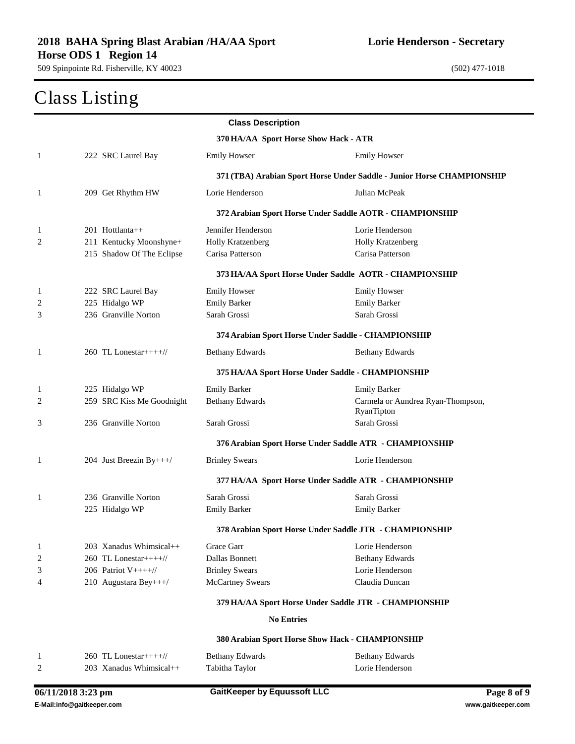### Class Listing

|                |                                          | <b>Class Description</b>              |                                                                        |
|----------------|------------------------------------------|---------------------------------------|------------------------------------------------------------------------|
|                |                                          | 370 HA/AA Sport Horse Show Hack - ATR |                                                                        |
| $\mathbf{1}$   | 222 SRC Laurel Bay                       | <b>Emily Howser</b>                   | <b>Emily Howser</b>                                                    |
|                |                                          |                                       | 371 (TBA) Arabian Sport Horse Under Saddle - Junior Horse CHAMPIONSHIP |
| 1              | 209 Get Rhythm HW                        | Lorie Henderson                       | Julian McPeak                                                          |
|                |                                          |                                       | 372 Arabian Sport Horse Under Saddle AOTR - CHAMPIONSHIP               |
| $\mathbf{1}$   | 201 Hottlanta++                          | Jennifer Henderson                    | Lorie Henderson                                                        |
| $\overline{2}$ | 211 Kentucky Moonshyne+                  | Holly Kratzenberg                     | Holly Kratzenberg                                                      |
|                | 215 Shadow Of The Eclipse                | Carisa Patterson                      | Carisa Patterson                                                       |
|                |                                          |                                       | 373 HA/AA Sport Horse Under Saddle AOTR - CHAMPIONSHIP                 |
| 1              | 222 SRC Laurel Bay                       | <b>Emily Howser</b>                   | <b>Emily Howser</b>                                                    |
| 2              | 225 Hidalgo WP                           | <b>Emily Barker</b>                   | <b>Emily Barker</b>                                                    |
| 3              | 236 Granville Norton                     | Sarah Grossi                          | Sarah Grossi                                                           |
|                |                                          |                                       | 374 Arabian Sport Horse Under Saddle - CHAMPIONSHIP                    |
| $\mathbf{1}$   | 260 TL Lonestar++++ $\frac{1}{\sqrt{2}}$ | <b>Bethany Edwards</b>                | <b>Bethany Edwards</b>                                                 |
|                |                                          |                                       | 375 HA/AA Sport Horse Under Saddle - CHAMPIONSHIP                      |
| $\mathbf{1}$   | 225 Hidalgo WP                           | <b>Emily Barker</b>                   | <b>Emily Barker</b>                                                    |
| 2              | 259 SRC Kiss Me Goodnight                | <b>Bethany Edwards</b>                | Carmela or Aundrea Ryan-Thompson,<br>RyanTipton                        |
| 3              | 236 Granville Norton                     | Sarah Grossi                          | Sarah Grossi                                                           |
|                |                                          |                                       | 376 Arabian Sport Horse Under Saddle ATR - CHAMPIONSHIP                |
| 1              | 204 Just Breezin By+++/                  | <b>Brinley Swears</b>                 | Lorie Henderson                                                        |
|                |                                          |                                       | 377 HA/AA Sport Horse Under Saddle ATR - CHAMPIONSHIP                  |
| $\mathbf{1}$   | 236 Granville Norton                     | Sarah Grossi                          | Sarah Grossi                                                           |
|                | 225 Hidalgo WP                           | <b>Emily Barker</b>                   | <b>Emily Barker</b>                                                    |
|                |                                          |                                       | 378 Arabian Sport Horse Under Saddle JTR - CHAMPIONSHIP                |
| $\mathbf{1}$   | 203 Xanadus Whimsical++                  | Grace Garr                            | Lorie Henderson                                                        |
| $\overline{c}$ | 260 TL Lonestar++++//                    | Dallas Bonnett                        | <b>Bethany Edwards</b>                                                 |
| 3              | 206 Patriot $V+++/$                      | <b>Brinley Swears</b>                 | Lorie Henderson                                                        |
| 4              | 210 Augustara Bey+++/                    | <b>McCartney Swears</b>               | Claudia Duncan                                                         |
|                |                                          |                                       | 379 HA/AA Sport Horse Under Saddle JTR - CHAMPIONSHIP                  |
|                |                                          | <b>No Entries</b>                     |                                                                        |
|                |                                          |                                       | 380 Arabian Sport Horse Show Hack - CHAMPIONSHIP                       |
| $\mathbf{1}$   | 260 TL Lonestar++++ $\frac{1}{2}$        | <b>Bethany Edwards</b>                | <b>Bethany Edwards</b>                                                 |
| 2              | 203 Xanadus Whimsical++                  | Tabitha Taylor                        | Lorie Henderson                                                        |